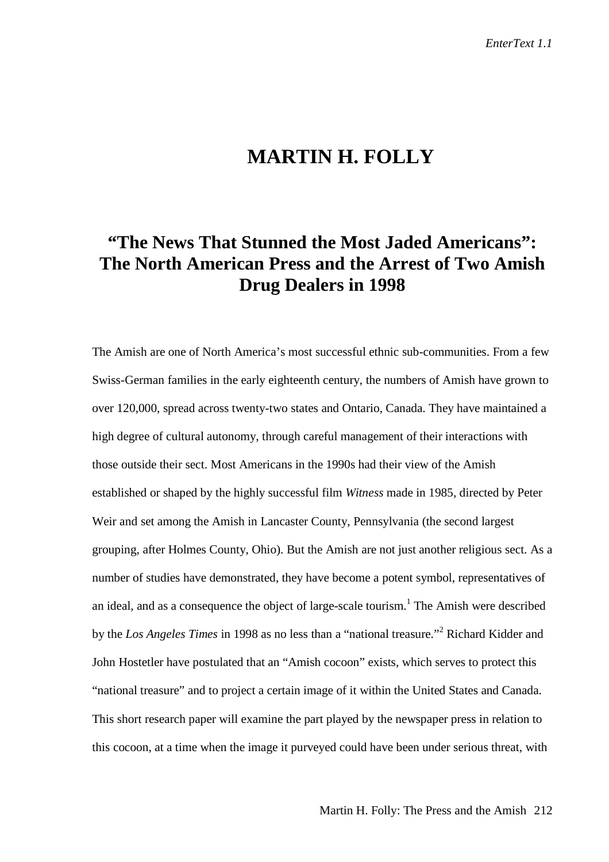## **MARTIN H. FOLLY**

## **"The News That Stunned the Most Jaded Americans": The North American Press and the Arrest of Two Amish Drug Dealers in 1998**

The Amish are one of North America's most successful ethnic sub-communities. From a few Swiss-German families in the early eighteenth century, the numbers of Amish have grown to over 120,000, spread across twenty-two states and Ontario, Canada. They have maintained a high degree of cultural autonomy, through careful management of their interactions with those outside their sect. Most Americans in the 1990s had their view of the Amish established or shaped by the highly successful film *Witness* made in 1985, directed by Peter Weir and set among the Amish in Lancaster County, Pennsylvania (the second largest grouping, after Holmes County, Ohio). But the Amish are not just another religious sect. As a number of studies have demonstrated, they have become a potent symbol, representatives of an ideal, and as a consequence the object of large-scale tourism.<sup>1</sup> The Amish were described by the *Los Angeles Times* in 1998 as no less than a "national treasure."<sup>2</sup> Richard Kidder and John Hostetler have postulated that an "Amish cocoon" exists, which serves to protect this "national treasure" and to project a certain image of it within the United States and Canada. This short research paper will examine the part played by the newspaper press in relation to this cocoon, at a time when the image it purveyed could have been under serious threat, with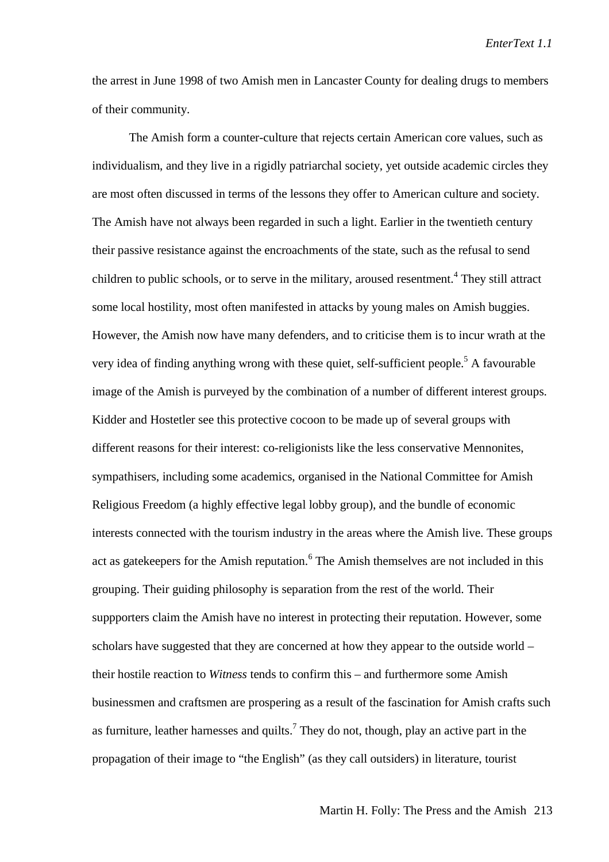the arrest in June 1998 of two Amish men in Lancaster County for dealing drugs to members of their community.

The Amish form a counter-culture that rejects certain American core values, such as individualism, and they live in a rigidly patriarchal society, yet outside academic circles they are most often discussed in terms of the lessons they offer to American culture and society. The Amish have not always been regarded in such a light. Earlier in the twentieth century their passive resistance against the encroachments of the state, such as the refusal to send children to public schools, or to serve in the military, aroused resentment.<sup>4</sup> They still attract some local hostility, most often manifested in attacks by young males on Amish buggies. However, the Amish now have many defenders, and to criticise them is to incur wrath at the very idea of finding anything wrong with these quiet, self-sufficient people.<sup>5</sup> A favourable image of the Amish is purveyed by the combination of a number of different interest groups. Kidder and Hostetler see this protective cocoon to be made up of several groups with different reasons for their interest: co-religionists like the less conservative Mennonites, sympathisers, including some academics, organised in the National Committee for Amish Religious Freedom (a highly effective legal lobby group), and the bundle of economic interests connected with the tourism industry in the areas where the Amish live. These groups act as gatekeepers for the Amish reputation.<sup>6</sup> The Amish themselves are not included in this grouping. Their guiding philosophy is separation from the rest of the world. Their suppporters claim the Amish have no interest in protecting their reputation. However, some scholars have suggested that they are concerned at how they appear to the outside world – their hostile reaction to *Witness* tends to confirm this – and furthermore some Amish businessmen and craftsmen are prospering as a result of the fascination for Amish crafts such as furniture, leather harnesses and quilts.<sup>7</sup> They do not, though, play an active part in the propagation of their image to "the English" (as they call outsiders) in literature, tourist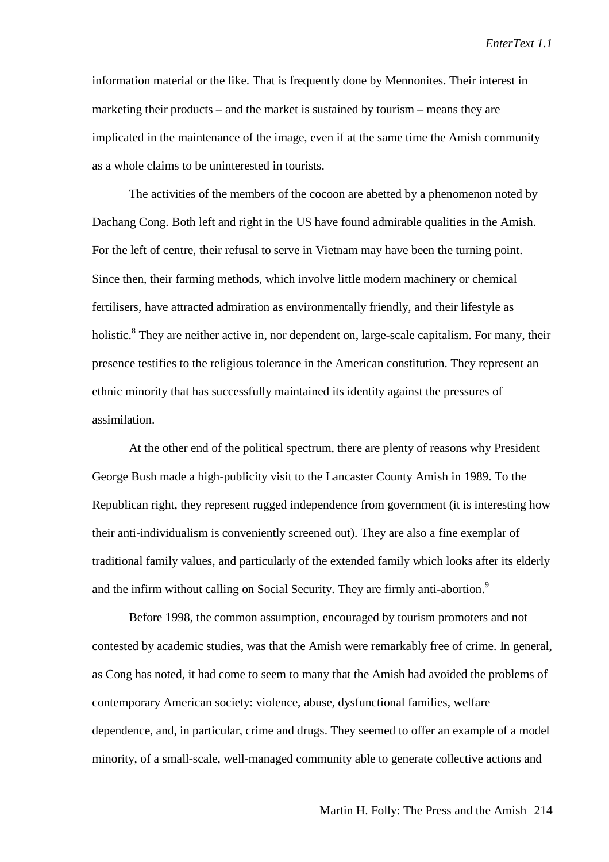information material or the like. That is frequently done by Mennonites. Their interest in marketing their products – and the market is sustained by tourism – means they are implicated in the maintenance of the image, even if at the same time the Amish community as a whole claims to be uninterested in tourists.

The activities of the members of the cocoon are abetted by a phenomenon noted by Dachang Cong. Both left and right in the US have found admirable qualities in the Amish. For the left of centre, their refusal to serve in Vietnam may have been the turning point. Since then, their farming methods, which involve little modern machinery or chemical fertilisers, have attracted admiration as environmentally friendly, and their lifestyle as holistic.<sup>8</sup> They are neither active in, nor dependent on, large-scale capitalism. For many, their presence testifies to the religious tolerance in the American constitution. They represent an ethnic minority that has successfully maintained its identity against the pressures of assimilation.

At the other end of the political spectrum, there are plenty of reasons why President George Bush made a high-publicity visit to the Lancaster County Amish in 1989. To the Republican right, they represent rugged independence from government (it is interesting how their anti-individualism is conveniently screened out). They are also a fine exemplar of traditional family values, and particularly of the extended family which looks after its elderly and the infirm without calling on Social Security. They are firmly anti-abortion.<sup>9</sup>

Before 1998, the common assumption, encouraged by tourism promoters and not contested by academic studies, was that the Amish were remarkably free of crime. In general, as Cong has noted, it had come to seem to many that the Amish had avoided the problems of contemporary American society: violence, abuse, dysfunctional families, welfare dependence, and, in particular, crime and drugs. They seemed to offer an example of a model minority, of a small-scale, well-managed community able to generate collective actions and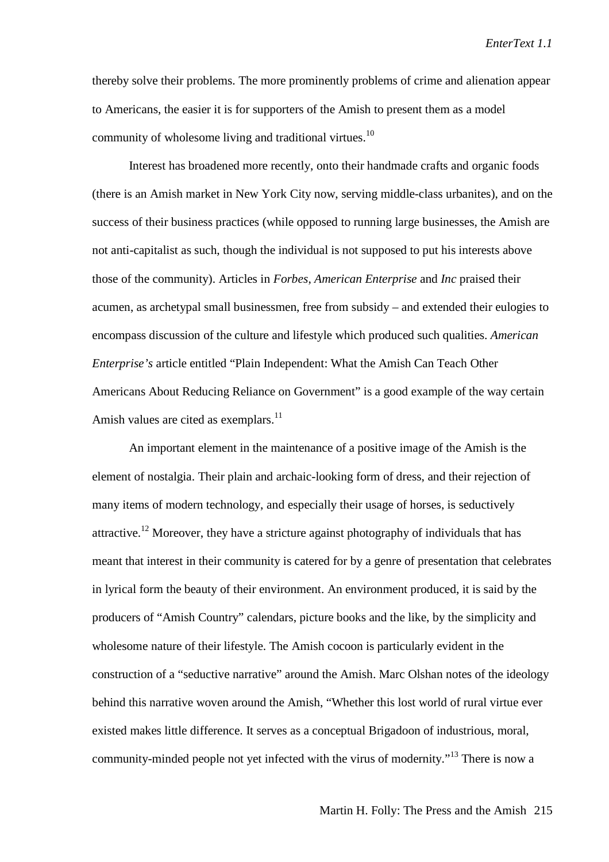thereby solve their problems. The more prominently problems of crime and alienation appear to Americans, the easier it is for supporters of the Amish to present them as a model community of wholesome living and traditional virtues.<sup>10</sup>

Interest has broadened more recently, onto their handmade crafts and organic foods (there is an Amish market in New York City now, serving middle-class urbanites), and on the success of their business practices (while opposed to running large businesses, the Amish are not anti-capitalist as such, though the individual is not supposed to put his interests above those of the community). Articles in *Forbes*, *American Enterprise* and *Inc* praised their acumen, as archetypal small businessmen, free from subsidy – and extended their eulogies to encompass discussion of the culture and lifestyle which produced such qualities. *American Enterprise's* article entitled "Plain Independent: What the Amish Can Teach Other Americans About Reducing Reliance on Government" is a good example of the way certain Amish values are cited as exemplars.<sup>11</sup>

An important element in the maintenance of a positive image of the Amish is the element of nostalgia. Their plain and archaic-looking form of dress, and their rejection of many items of modern technology, and especially their usage of horses, is seductively attractive.<sup>12</sup> Moreover, they have a stricture against photography of individuals that has meant that interest in their community is catered for by a genre of presentation that celebrates in lyrical form the beauty of their environment. An environment produced, it is said by the producers of "Amish Country" calendars, picture books and the like, by the simplicity and wholesome nature of their lifestyle. The Amish cocoon is particularly evident in the construction of a "seductive narrative" around the Amish. Marc Olshan notes of the ideology behind this narrative woven around the Amish, "Whether this lost world of rural virtue ever existed makes little difference. It serves as a conceptual Brigadoon of industrious, moral, community-minded people not yet infected with the virus of modernity."13 There is now a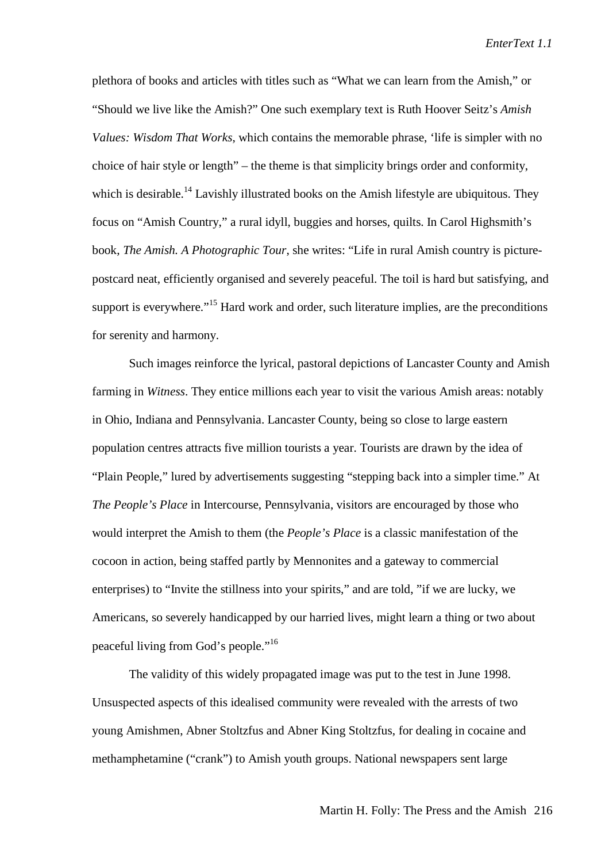plethora of books and articles with titles such as "What we can learn from the Amish," or "Should we live like the Amish?" One such exemplary text is Ruth Hoover Seitz's *Amish Values: Wisdom That Works*, which contains the memorable phrase, 'life is simpler with no choice of hair style or length" – the theme is that simplicity brings order and conformity, which is desirable.<sup>14</sup> Lavishly illustrated books on the Amish lifestyle are ubiquitous. They focus on "Amish Country," a rural idyll, buggies and horses, quilts. In Carol Highsmith's book, *The Amish. A Photographic Tour*, she writes: "Life in rural Amish country is picturepostcard neat, efficiently organised and severely peaceful. The toil is hard but satisfying, and support is everywhere."<sup>15</sup> Hard work and order, such literature implies, are the preconditions for serenity and harmony.

Such images reinforce the lyrical, pastoral depictions of Lancaster County and Amish farming in *Witness*. They entice millions each year to visit the various Amish areas: notably in Ohio, Indiana and Pennsylvania. Lancaster County, being so close to large eastern population centres attracts five million tourists a year. Tourists are drawn by the idea of "Plain People," lured by advertisements suggesting "stepping back into a simpler time." At *The People's Place* in Intercourse, Pennsylvania, visitors are encouraged by those who would interpret the Amish to them (the *People's Place* is a classic manifestation of the cocoon in action, being staffed partly by Mennonites and a gateway to commercial enterprises) to "Invite the stillness into your spirits," and are told, "if we are lucky, we Americans, so severely handicapped by our harried lives, might learn a thing or two about peaceful living from God's people."16

The validity of this widely propagated image was put to the test in June 1998. Unsuspected aspects of this idealised community were revealed with the arrests of two young Amishmen, Abner Stoltzfus and Abner King Stoltzfus, for dealing in cocaine and methamphetamine ("crank") to Amish youth groups. National newspapers sent large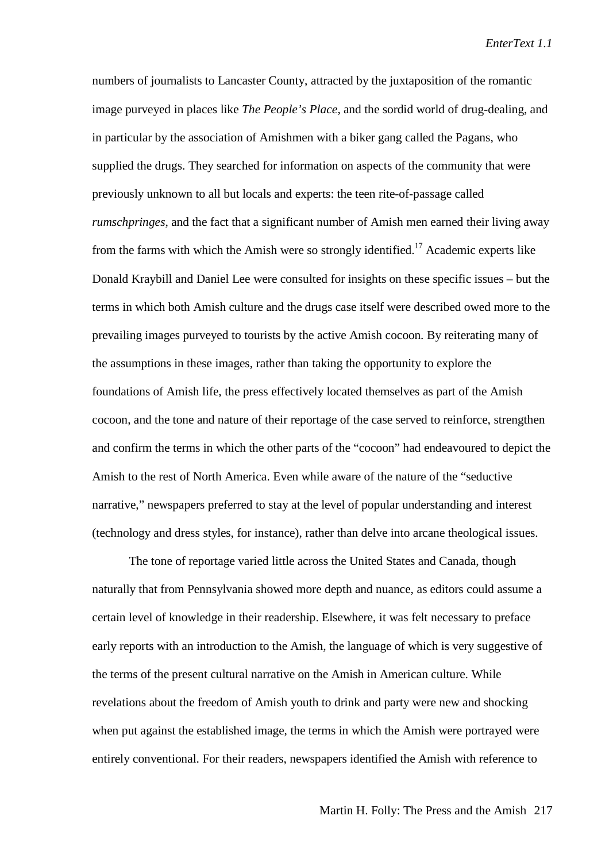numbers of journalists to Lancaster County, attracted by the juxtaposition of the romantic image purveyed in places like *The People's Place*, and the sordid world of drug-dealing, and in particular by the association of Amishmen with a biker gang called the Pagans, who supplied the drugs. They searched for information on aspects of the community that were previously unknown to all but locals and experts: the teen rite-of-passage called *rumschpringes*, and the fact that a significant number of Amish men earned their living away from the farms with which the Amish were so strongly identified.<sup>17</sup> Academic experts like Donald Kraybill and Daniel Lee were consulted for insights on these specific issues – but the terms in which both Amish culture and the drugs case itself were described owed more to the prevailing images purveyed to tourists by the active Amish cocoon. By reiterating many of the assumptions in these images, rather than taking the opportunity to explore the foundations of Amish life, the press effectively located themselves as part of the Amish cocoon, and the tone and nature of their reportage of the case served to reinforce, strengthen and confirm the terms in which the other parts of the "cocoon" had endeavoured to depict the Amish to the rest of North America. Even while aware of the nature of the "seductive narrative," newspapers preferred to stay at the level of popular understanding and interest (technology and dress styles, for instance), rather than delve into arcane theological issues.

The tone of reportage varied little across the United States and Canada, though naturally that from Pennsylvania showed more depth and nuance, as editors could assume a certain level of knowledge in their readership. Elsewhere, it was felt necessary to preface early reports with an introduction to the Amish, the language of which is very suggestive of the terms of the present cultural narrative on the Amish in American culture. While revelations about the freedom of Amish youth to drink and party were new and shocking when put against the established image, the terms in which the Amish were portrayed were entirely conventional. For their readers, newspapers identified the Amish with reference to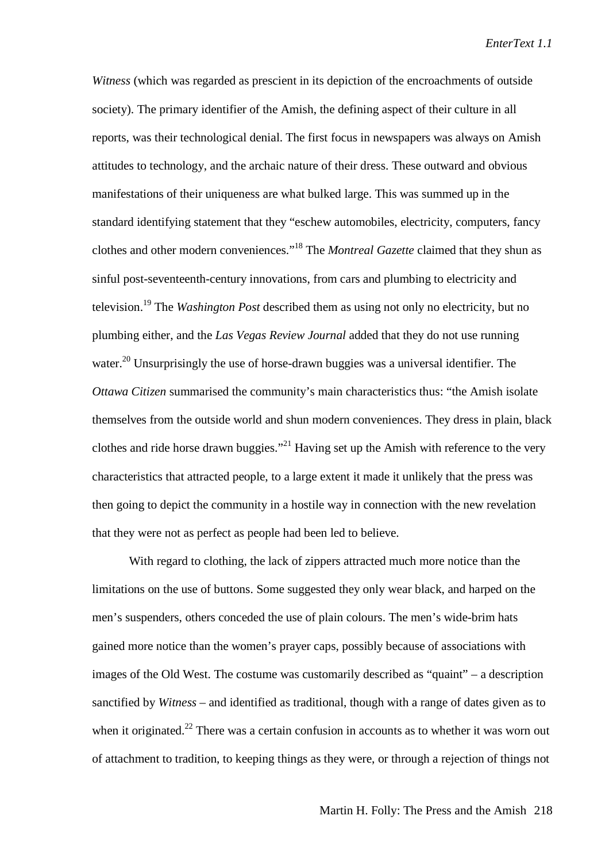*Witness* (which was regarded as prescient in its depiction of the encroachments of outside society). The primary identifier of the Amish, the defining aspect of their culture in all reports, was their technological denial. The first focus in newspapers was always on Amish attitudes to technology, and the archaic nature of their dress. These outward and obvious manifestations of their uniqueness are what bulked large. This was summed up in the standard identifying statement that they "eschew automobiles, electricity, computers, fancy clothes and other modern conveniences."18 The *Montreal Gazette* claimed that they shun as sinful post-seventeenth-century innovations, from cars and plumbing to electricity and television.19 The *Washington Post* described them as using not only no electricity, but no plumbing either, and the *Las Vegas Review Journal* added that they do not use running water.<sup>20</sup> Unsurprisingly the use of horse-drawn buggies was a universal identifier. The *Ottawa Citizen* summarised the community's main characteristics thus: "the Amish isolate themselves from the outside world and shun modern conveniences. They dress in plain, black clothes and ride horse drawn buggies."<sup>21</sup> Having set up the Amish with reference to the very characteristics that attracted people, to a large extent it made it unlikely that the press was then going to depict the community in a hostile way in connection with the new revelation that they were not as perfect as people had been led to believe.

With regard to clothing, the lack of zippers attracted much more notice than the limitations on the use of buttons. Some suggested they only wear black, and harped on the men's suspenders, others conceded the use of plain colours. The men's wide-brim hats gained more notice than the women's prayer caps, possibly because of associations with images of the Old West. The costume was customarily described as "quaint" – a description sanctified by *Witness* – and identified as traditional, though with a range of dates given as to when it originated.<sup>22</sup> There was a certain confusion in accounts as to whether it was worn out of attachment to tradition, to keeping things as they were, or through a rejection of things not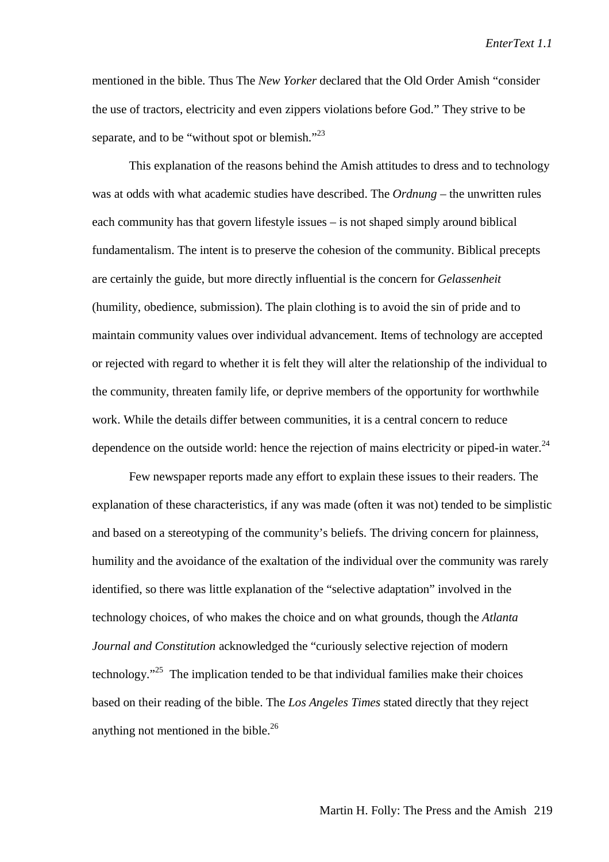mentioned in the bible. Thus The *New Yorker* declared that the Old Order Amish "consider the use of tractors, electricity and even zippers violations before God." They strive to be separate, and to be "without spot or blemish."<sup>23</sup>

This explanation of the reasons behind the Amish attitudes to dress and to technology was at odds with what academic studies have described. The *Ordnung* – the unwritten rules each community has that govern lifestyle issues – is not shaped simply around biblical fundamentalism. The intent is to preserve the cohesion of the community. Biblical precepts are certainly the guide, but more directly influential is the concern for *Gelassenheit* (humility, obedience, submission). The plain clothing is to avoid the sin of pride and to maintain community values over individual advancement. Items of technology are accepted or rejected with regard to whether it is felt they will alter the relationship of the individual to the community, threaten family life, or deprive members of the opportunity for worthwhile work. While the details differ between communities, it is a central concern to reduce dependence on the outside world: hence the rejection of mains electricity or piped-in water. $^{24}$ 

Few newspaper reports made any effort to explain these issues to their readers. The explanation of these characteristics, if any was made (often it was not) tended to be simplistic and based on a stereotyping of the community's beliefs. The driving concern for plainness, humility and the avoidance of the exaltation of the individual over the community was rarely identified, so there was little explanation of the "selective adaptation" involved in the technology choices, of who makes the choice and on what grounds, though the *Atlanta Journal and Constitution* acknowledged the "curiously selective rejection of modern technology."25 The implication tended to be that individual families make their choices based on their reading of the bible. The *Los Angeles Times* stated directly that they reject anything not mentioned in the bible. $^{26}$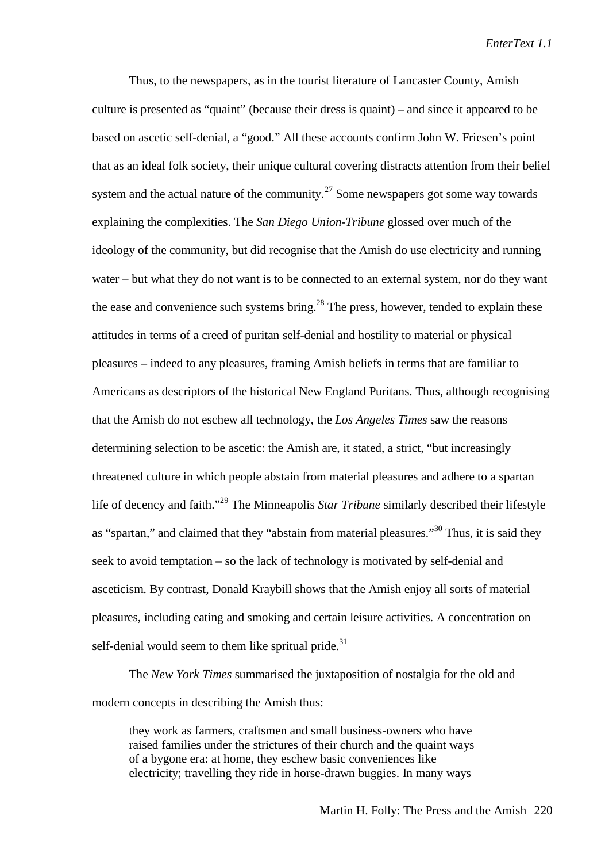Thus, to the newspapers, as in the tourist literature of Lancaster County, Amish culture is presented as "quaint" (because their dress is quaint) – and since it appeared to be based on ascetic self-denial, a "good." All these accounts confirm John W. Friesen's point that as an ideal folk society, their unique cultural covering distracts attention from their belief system and the actual nature of the community.<sup>27</sup> Some newspapers got some way towards explaining the complexities. The *San Diego Union-Tribune* glossed over much of the ideology of the community, but did recognise that the Amish do use electricity and running water – but what they do not want is to be connected to an external system, nor do they want the ease and convenience such systems bring.<sup>28</sup> The press, however, tended to explain these attitudes in terms of a creed of puritan self-denial and hostility to material or physical pleasures – indeed to any pleasures, framing Amish beliefs in terms that are familiar to Americans as descriptors of the historical New England Puritans. Thus, although recognising that the Amish do not eschew all technology, the *Los Angeles Times* saw the reasons determining selection to be ascetic: the Amish are, it stated, a strict, "but increasingly threatened culture in which people abstain from material pleasures and adhere to a spartan life of decency and faith."29 The Minneapolis *Star Tribune* similarly described their lifestyle as "spartan," and claimed that they "abstain from material pleasures."<sup>30</sup> Thus, it is said they seek to avoid temptation – so the lack of technology is motivated by self-denial and asceticism. By contrast, Donald Kraybill shows that the Amish enjoy all sorts of material pleasures, including eating and smoking and certain leisure activities. A concentration on self-denial would seem to them like spritual pride. $31$ 

The *New York Times* summarised the juxtaposition of nostalgia for the old and modern concepts in describing the Amish thus:

they work as farmers, craftsmen and small business-owners who have raised families under the strictures of their church and the quaint ways of a bygone era: at home, they eschew basic conveniences like electricity; travelling they ride in horse-drawn buggies. In many ways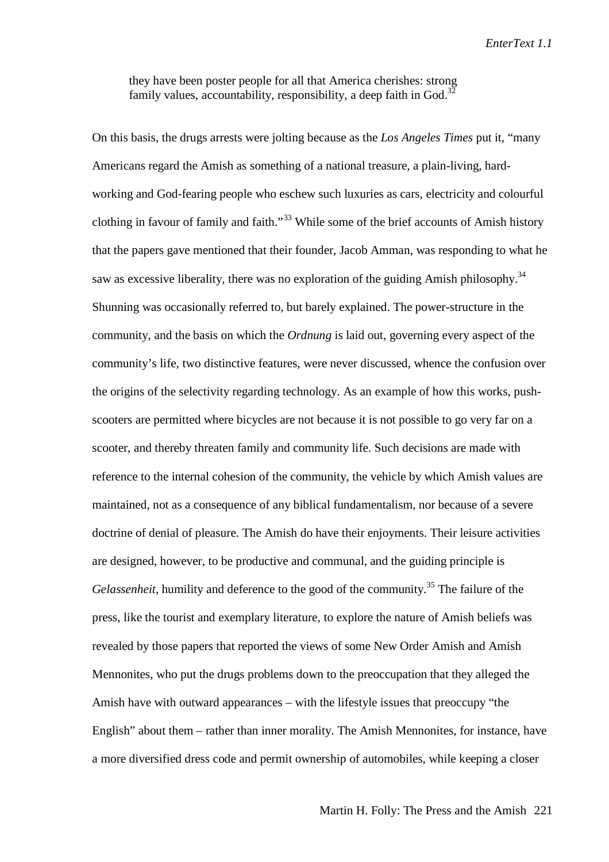they have been poster people for all that America cherishes: strong family values, accountability, responsibility, a deep faith in God. $3<sup>3</sup>$ 

On this basis, the drugs arrests were jolting because as the *Los Angeles Times* put it, "many Americans regard the Amish as something of a national treasure, a plain-living, hardworking and God-fearing people who eschew such luxuries as cars, electricity and colourful clothing in favour of family and faith."<sup>33</sup> While some of the brief accounts of Amish history that the papers gave mentioned that their founder, Jacob Amman, was responding to what he saw as excessive liberality, there was no exploration of the guiding Amish philosophy.<sup>34</sup> Shunning was occasionally referred to, but barely explained. The power-structure in the community, and the basis on which the *Ordnung* is laid out, governing every aspect of the community's life, two distinctive features, were never discussed, whence the confusion over the origins of the selectivity regarding technology. As an example of how this works, pushscooters are permitted where bicycles are not because it is not possible to go very far on a scooter, and thereby threaten family and community life. Such decisions are made with reference to the internal cohesion of the community, the vehicle by which Amish values are maintained, not as a consequence of any biblical fundamentalism, nor because of a severe doctrine of denial of pleasure. The Amish do have their enjoyments. Their leisure activities are designed, however, to be productive and communal, and the guiding principle is *Gelassenheit*, humility and deference to the good of the community.<sup>35</sup> The failure of the press, like the tourist and exemplary literature, to explore the nature of Amish beliefs was revealed by those papers that reported the views of some New Order Amish and Amish Mennonites, who put the drugs problems down to the preoccupation that they alleged the Amish have with outward appearances – with the lifestyle issues that preoccupy "the English" about them – rather than inner morality. The Amish Mennonites, for instance, have a more diversified dress code and permit ownership of automobiles, while keeping a closer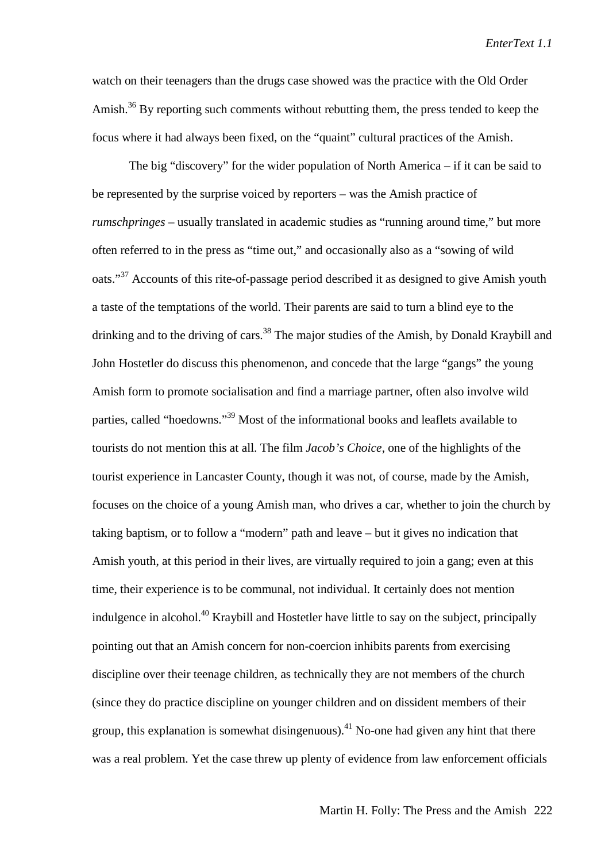watch on their teenagers than the drugs case showed was the practice with the Old Order Amish.<sup>36</sup> By reporting such comments without rebutting them, the press tended to keep the focus where it had always been fixed, on the "quaint" cultural practices of the Amish.

The big "discovery" for the wider population of North America – if it can be said to be represented by the surprise voiced by reporters – was the Amish practice of *rumschpringes* – usually translated in academic studies as "running around time," but more often referred to in the press as "time out," and occasionally also as a "sowing of wild oats."<sup>37</sup> Accounts of this rite-of-passage period described it as designed to give Amish youth a taste of the temptations of the world. Their parents are said to turn a blind eye to the drinking and to the driving of cars.<sup>38</sup> The major studies of the Amish, by Donald Kraybill and John Hostetler do discuss this phenomenon, and concede that the large "gangs" the young Amish form to promote socialisation and find a marriage partner, often also involve wild parties, called "hoedowns."39 Most of the informational books and leaflets available to tourists do not mention this at all. The film *Jacob's Choice*, one of the highlights of the tourist experience in Lancaster County, though it was not, of course, made by the Amish, focuses on the choice of a young Amish man, who drives a car, whether to join the church by taking baptism, or to follow a "modern" path and leave – but it gives no indication that Amish youth, at this period in their lives, are virtually required to join a gang; even at this time, their experience is to be communal, not individual. It certainly does not mention indulgence in alcohol.<sup>40</sup> Kraybill and Hostetler have little to say on the subject, principally pointing out that an Amish concern for non-coercion inhibits parents from exercising discipline over their teenage children, as technically they are not members of the church (since they do practice discipline on younger children and on dissident members of their group, this explanation is somewhat disingenuous).<sup>41</sup> No-one had given any hint that there was a real problem. Yet the case threw up plenty of evidence from law enforcement officials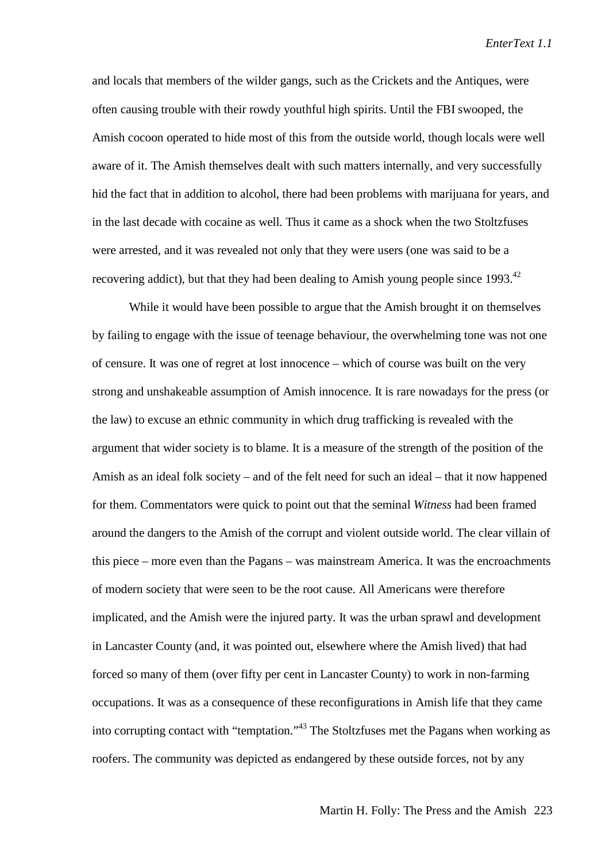and locals that members of the wilder gangs, such as the Crickets and the Antiques, were often causing trouble with their rowdy youthful high spirits. Until the FBI swooped, the Amish cocoon operated to hide most of this from the outside world, though locals were well aware of it. The Amish themselves dealt with such matters internally, and very successfully hid the fact that in addition to alcohol, there had been problems with marijuana for years, and in the last decade with cocaine as well. Thus it came as a shock when the two Stoltzfuses were arrested, and it was revealed not only that they were users (one was said to be a recovering addict), but that they had been dealing to Amish young people since 1993.<sup>42</sup>

While it would have been possible to argue that the Amish brought it on themselves by failing to engage with the issue of teenage behaviour, the overwhelming tone was not one of censure. It was one of regret at lost innocence – which of course was built on the very strong and unshakeable assumption of Amish innocence. It is rare nowadays for the press (or the law) to excuse an ethnic community in which drug trafficking is revealed with the argument that wider society is to blame. It is a measure of the strength of the position of the Amish as an ideal folk society – and of the felt need for such an ideal – that it now happened for them. Commentators were quick to point out that the seminal *Witness* had been framed around the dangers to the Amish of the corrupt and violent outside world. The clear villain of this piece – more even than the Pagans – was mainstream America. It was the encroachments of modern society that were seen to be the root cause. All Americans were therefore implicated, and the Amish were the injured party. It was the urban sprawl and development in Lancaster County (and, it was pointed out, elsewhere where the Amish lived) that had forced so many of them (over fifty per cent in Lancaster County) to work in non-farming occupations. It was as a consequence of these reconfigurations in Amish life that they came into corrupting contact with "temptation."43 The Stoltzfuses met the Pagans when working as roofers. The community was depicted as endangered by these outside forces, not by any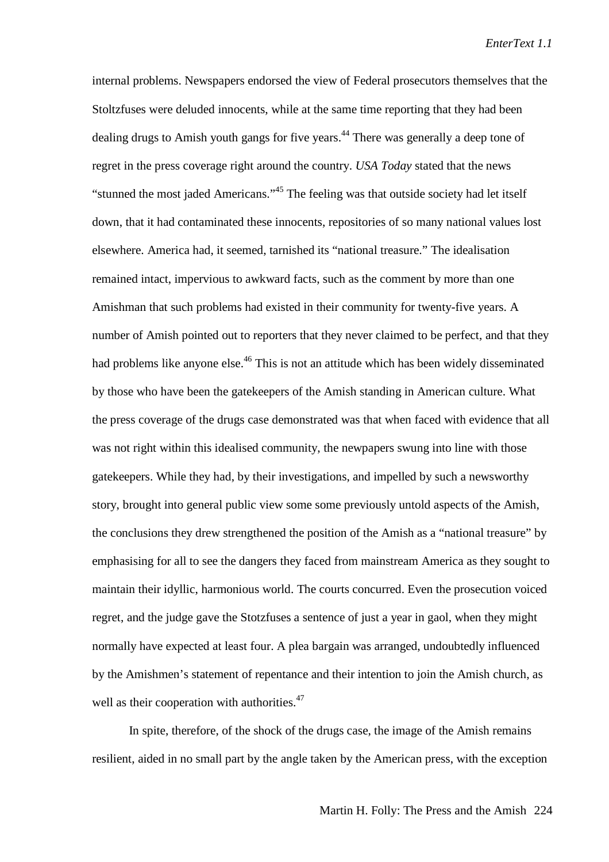internal problems. Newspapers endorsed the view of Federal prosecutors themselves that the Stoltzfuses were deluded innocents, while at the same time reporting that they had been dealing drugs to Amish youth gangs for five years.<sup>44</sup> There was generally a deep tone of regret in the press coverage right around the country. *USA Today* stated that the news "stunned the most jaded Americans."<sup>45</sup> The feeling was that outside society had let itself down, that it had contaminated these innocents, repositories of so many national values lost elsewhere. America had, it seemed, tarnished its "national treasure." The idealisation remained intact, impervious to awkward facts, such as the comment by more than one Amishman that such problems had existed in their community for twenty-five years. A number of Amish pointed out to reporters that they never claimed to be perfect, and that they had problems like anyone else.<sup>46</sup> This is not an attitude which has been widely disseminated by those who have been the gatekeepers of the Amish standing in American culture. What the press coverage of the drugs case demonstrated was that when faced with evidence that all was not right within this idealised community, the newpapers swung into line with those gatekeepers. While they had, by their investigations, and impelled by such a newsworthy story, brought into general public view some some previously untold aspects of the Amish, the conclusions they drew strengthened the position of the Amish as a "national treasure" by emphasising for all to see the dangers they faced from mainstream America as they sought to maintain their idyllic, harmonious world. The courts concurred. Even the prosecution voiced regret, and the judge gave the Stotzfuses a sentence of just a year in gaol, when they might normally have expected at least four. A plea bargain was arranged, undoubtedly influenced by the Amishmen's statement of repentance and their intention to join the Amish church, as well as their cooperation with authorities.<sup>47</sup>

In spite, therefore, of the shock of the drugs case, the image of the Amish remains resilient, aided in no small part by the angle taken by the American press, with the exception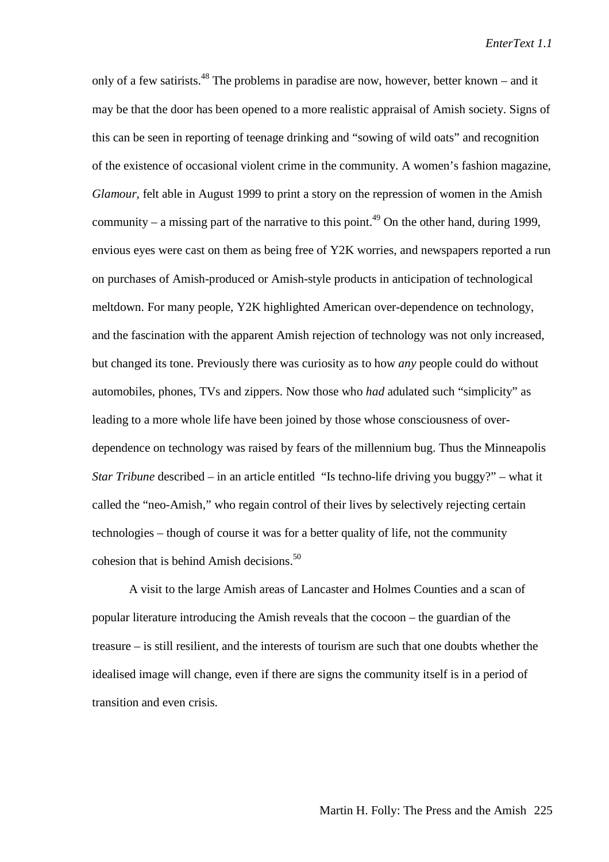only of a few satirists.<sup>48</sup> The problems in paradise are now, however, better known – and it may be that the door has been opened to a more realistic appraisal of Amish society. Signs of this can be seen in reporting of teenage drinking and "sowing of wild oats" and recognition of the existence of occasional violent crime in the community. A women's fashion magazine, *Glamour,* felt able in August 1999 to print a story on the repression of women in the Amish community – a missing part of the narrative to this point.<sup>49</sup> On the other hand, during 1999, envious eyes were cast on them as being free of Y2K worries, and newspapers reported a run on purchases of Amish-produced or Amish-style products in anticipation of technological meltdown. For many people, Y2K highlighted American over-dependence on technology, and the fascination with the apparent Amish rejection of technology was not only increased, but changed its tone. Previously there was curiosity as to how *any* people could do without automobiles, phones, TVs and zippers. Now those who *had* adulated such "simplicity" as leading to a more whole life have been joined by those whose consciousness of overdependence on technology was raised by fears of the millennium bug. Thus the Minneapolis *Star Tribune* described – in an article entitled "Is techno-life driving you buggy?" – what it called the "neo-Amish," who regain control of their lives by selectively rejecting certain technologies – though of course it was for a better quality of life, not the community cohesion that is behind Amish decisions.<sup>50</sup>

A visit to the large Amish areas of Lancaster and Holmes Counties and a scan of popular literature introducing the Amish reveals that the cocoon – the guardian of the treasure – is still resilient, and the interests of tourism are such that one doubts whether the idealised image will change, even if there are signs the community itself is in a period of transition and even crisis.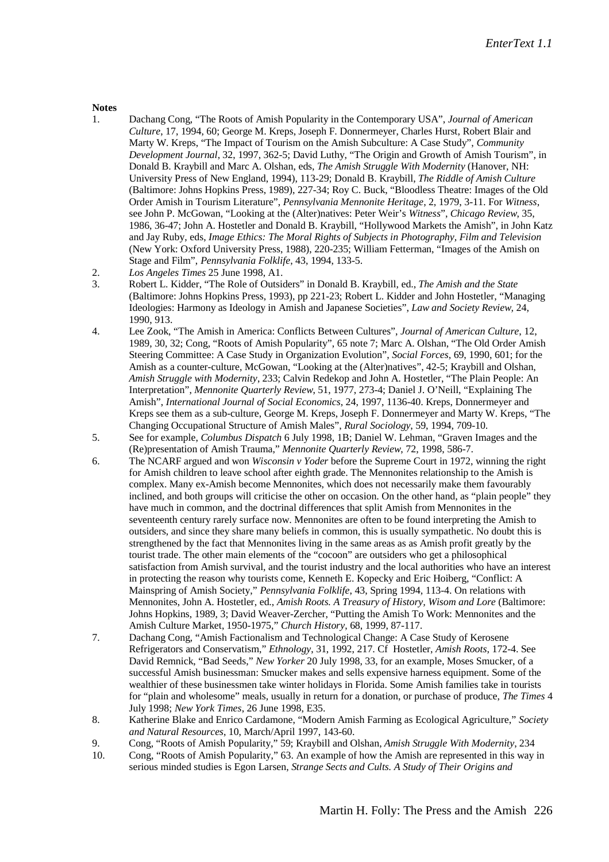## Notes<br>1.

- 1. Dachang Cong, "The Roots of Amish Popularity in the Contemporary USA", *Journal of American Culture*, 17, 1994, 60; George M. Kreps, Joseph F. Donnermeyer, Charles Hurst, Robert Blair and Marty W. Kreps, "The Impact of Tourism on the Amish Subculture: A Case Study", *Community Development Journal*, 32, 1997, 362-5; David Luthy, "The Origin and Growth of Amish Tourism", in Donald B. Kraybill and Marc A. Olshan, eds, *The Amish Struggle With Modernity* (Hanover, NH: University Press of New England, 1994), 113-29; Donald B. Kraybill, *The Riddle of Amish Culture* (Baltimore: Johns Hopkins Press, 1989), 227-34; Roy C. Buck, "Bloodless Theatre: Images of the Old Order Amish in Tourism Literature", *Pennsylvania Mennonite Heritage*, 2, 1979, 3-11. For *Witness*, see John P. McGowan, "Looking at the (Alter)natives: Peter Weir's *Witness*", *Chicago Review*, 35, 1986, 36-47; John A. Hostetler and Donald B. Kraybill, "Hollywood Markets the Amish", in John Katz and Jay Ruby, eds, *Image Ethics: The Moral Rights of Subjects in Photography, Film and Television* (New York: Oxford University Press, 1988), 220-235; William Fetterman, "Images of the Amish on Stage and Film", *Pennsylvania Folklife*, 43, 1994, 133-5.
- 2. *Los Angeles Times* 25 June 1998, A1.
- 3. Robert L. Kidder, "The Role of Outsiders" in Donald B. Kraybill, ed., *The Amish and the State* (Baltimore: Johns Hopkins Press, 1993), pp 221-23; Robert L. Kidder and John Hostetler, "Managing Ideologies: Harmony as Ideology in Amish and Japanese Societies", *Law and Society Review,* 24, 1990, 913.
- 4. Lee Zook, "The Amish in America: Conflicts Between Cultures", *Journal of American Culture*, 12, 1989, 30, 32; Cong, "Roots of Amish Popularity", 65 note 7; Marc A. Olshan, "The Old Order Amish Steering Committee: A Case Study in Organization Evolution", *Social Forces*, 69, 1990, 601; for the Amish as a counter-culture, McGowan, "Looking at the (Alter)natives", 42-5; Kraybill and Olshan, *Amish Struggle with Modernity*, 233; Calvin Redekop and John A. Hostetler, "The Plain People: An Interpretation", *Mennonite Quarterly Review*, 51, 1977, 273-4; Daniel J. O'Neill, "Explaining The Amish", *International Journal of Social Economics*, 24, 1997, 1136-40. Kreps, Donnermeyer and Kreps see them as a sub-culture, George M. Kreps, Joseph F. Donnermeyer and Marty W. Kreps, "The Changing Occupational Structure of Amish Males", *Rural Sociology*, 59, 1994, 709-10.
- 5. See for example, *Columbus Dispatch* 6 July 1998, 1B; Daniel W. Lehman, "Graven Images and the (Re)presentation of Amish Trauma," *Mennonite Quarterly Review*, 72, 1998, 586-7.
- 6. The NCARF argued and won *Wisconsin v Yoder* before the Supreme Court in 1972, winning the right for Amish children to leave school after eighth grade. The Mennonites relationship to the Amish is complex. Many ex-Amish become Mennonites, which does not necessarily make them favourably inclined, and both groups will criticise the other on occasion. On the other hand, as "plain people" they have much in common, and the doctrinal differences that split Amish from Mennonites in the seventeenth century rarely surface now. Mennonites are often to be found interpreting the Amish to outsiders, and since they share many beliefs in common, this is usually sympathetic. No doubt this is strengthened by the fact that Mennonites living in the same areas as as Amish profit greatly by the tourist trade. The other main elements of the "cocoon" are outsiders who get a philosophical satisfaction from Amish survival, and the tourist industry and the local authorities who have an interest in protecting the reason why tourists come, Kenneth E. Kopecky and Eric Hoiberg, "Conflict: A Mainspring of Amish Society," *Pennsylvania Folklife*, 43, Spring 1994, 113-4. On relations with Mennonites, John A. Hostetler, ed., *Amish Roots. A Treasury of History, Wisom and Lore* (Baltimore: Johns Hopkins, 1989, 3; David Weaver-Zercher, "Putting the Amish To Work: Mennonites and the Amish Culture Market, 1950-1975," *Church History*, 68, 1999, 87-117.
- 7. Dachang Cong, "Amish Factionalism and Technological Change: A Case Study of Kerosene Refrigerators and Conservatism," *Ethnology*, 31, 1992, 217. Cf Hostetler, *Amish Roots*, 172-4. See David Remnick, "Bad Seeds," *New Yorker* 20 July 1998, 33, for an example, Moses Smucker, of a successful Amish businessman: Smucker makes and sells expensive harness equipment. Some of the wealthier of these businessmen take winter holidays in Florida. Some Amish families take in tourists for "plain and wholesome" meals, usually in return for a donation, or purchase of produce, *The Times* 4 July 1998; *New York Times*, 26 June 1998, E35.
- 8. Katherine Blake and Enrico Cardamone, "Modern Amish Farming as Ecological Agriculture," *Society and Natural Resources*, 10, March/April 1997, 143-60.
- 9. Cong, "Roots of Amish Popularity," 59; Kraybill and Olshan, *Amish Struggle With Modernity*, 234
- 10. Cong, "Roots of Amish Popularity," 63. An example of how the Amish are represented in this way in serious minded studies is Egon Larsen, *Strange Sects and Cults. A Study of Their Origins and*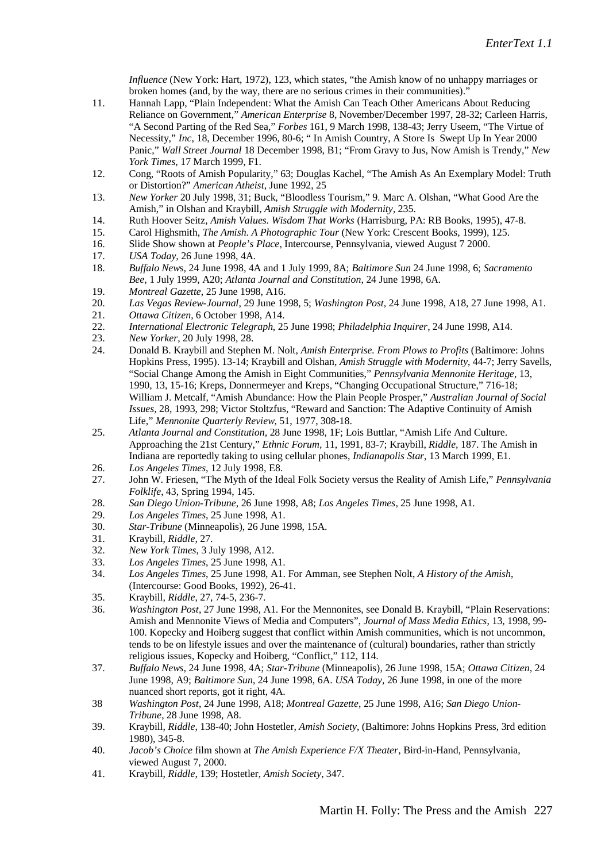*Influence* (New York: Hart, 1972), 123, which states, "the Amish know of no unhappy marriages or broken homes (and, by the way, there are no serious crimes in their communities)."

- 11. Hannah Lapp, "Plain Independent: What the Amish Can Teach Other Americans About Reducing Reliance on Government," *American Enterprise* 8, November/December 1997, 28-32; Carleen Harris, "A Second Parting of the Red Sea," *Forbes* 161, 9 March 1998, 138-43; Jerry Useem, "The Virtue of Necessity," *Inc*, 18, December 1996, 80-6; " In Amish Country, A Store Is Swept Up In Year 2000 Panic," *Wall Street Journal* 18 December 1998, B1; "From Gravy to Jus, Now Amish is Trendy," *New York Times*, 17 March 1999, F1.
- 12. Cong, "Roots of Amish Popularity," 63; Douglas Kachel, "The Amish As An Exemplary Model: Truth or Distortion?" *American Atheist*, June 1992, 25
- 13. *New Yorker* 20 July 1998, 31; Buck, "Bloodless Tourism," 9. Marc A. Olshan, "What Good Are the Amish," in Olshan and Kraybill, *Amish Struggle with Modernity*, 235.
- 14. Ruth Hoover Seitz, *Amish Values. Wisdom That Works* (Harrisburg, PA: RB Books, 1995), 47-8.
- 15. Carol Highsmith, *The Amish. A Photographic Tour* (New York: Crescent Books, 1999), 125.
- 16. Slide Show shown at *People's Place*, Intercourse, Pennsylvania, viewed August 7 2000.
- 17. *USA Today*, 26 June 1998, 4A.
- 18. *Buffalo New*s, 24 June 1998, 4A and 1 July 1999, 8A; *Baltimore Sun* 24 June 1998, 6; *Sacramento Bee*, 1 July 1999, A20; *Atlanta Journal and Constitution*, 24 June 1998, 6A.
- 19. *Montreal Gazette*, 25 June 1998, A16.
- 20. *Las Vegas Review-Journal*, 29 June 1998, 5; *Washington Post*, 24 June 1998, A18, 27 June 1998, A1.
- 21. *Ottawa Citizen*, 6 October 1998, A14.
- 22. *International Electronic Telegraph*, 25 June 1998; *Philadelphia Inquirer*, 24 June 1998, A14.
- 23. *New Yorker*, 20 July 1998, 28.
- 24. Donald B. Kraybill and Stephen M. Nolt, *Amish Enterprise. From Plows to Profits* (Baltimore: Johns Hopkins Press, 1995). 13-14; Kraybill and Olshan, *Amish Struggle with Modernity*, 44-7; Jerry Savells, "Social Change Among the Amish in Eight Communities," *Pennsylvania Mennonite Heritage*, 13, 1990, 13, 15-16; Kreps, Donnermeyer and Kreps, "Changing Occupational Structure," 716-18; William J. Metcalf, "Amish Abundance: How the Plain People Prosper," *Australian Journal of Social Issues*, 28, 1993, 298; Victor Stoltzfus, "Reward and Sanction: The Adaptive Continuity of Amish Life," *Mennonite Quarterly Review*, 51, 1977, 308-18.
- 25. *Atlanta Journal and Constitution*, 28 June 1998, 1F; Lois Buttlar, "Amish Life And Culture. Approaching the 21st Century," *Ethnic Forum,* 11, 1991, 83-7; Kraybill, *Riddle,* 187. The Amish in Indiana are reportedly taking to using cellular phones, *Indianapolis Star*, 13 March 1999, E1.
- 26. *Los Angeles Times*, 12 July 1998, E8.
- 27. John W. Friesen, "The Myth of the Ideal Folk Society versus the Reality of Amish Life," *Pennsylvania Folklife*, 43, Spring 1994, 145.
- 28. *San Diego Union-Tribune*, 26 June 1998, A8; *Los Angeles Times*, 25 June 1998, A1.
- 29. *Los Angeles Times*, 25 June 1998, A1.
- 30. *Star-Tribune* (Minneapolis), 26 June 1998, 15A.
- 31. Kraybill, *Riddle*, 27.
- 32. *New York Times*, 3 July 1998, A12.
- 33. *Los Angeles Times*, 25 June 1998, A1.
- 34. *Los Angeles Times*, 25 June 1998, A1. For Amman, see Stephen Nolt, *A History of the Amish*, (Intercourse: Good Books, 1992), 26-41.
- 35. Kraybill, *Riddle*, 27, 74-5, 236-7.
- 36. *Washington Post*, 27 June 1998, A1. For the Mennonites, see Donald B. Kraybill, "Plain Reservations: Amish and Mennonite Views of Media and Computers", *Journal of Mass Media Ethics*, 13, 1998, 99- 100. Kopecky and Hoiberg suggest that conflict within Amish communities, which is not uncommon, tends to be on lifestyle issues and over the maintenance of (cultural) boundaries, rather than strictly religious issues, Kopecky and Hoiberg, "Conflict," 112, 114.
- 37. *Buffalo News*, 24 June 1998, 4A; *Star-Tribune* (Minneapolis), 26 June 1998, 15A; *Ottawa Citizen*, 24 June 1998, A9; *Baltimore Sun,* 24 June 1998, 6A. *USA Today,* 26 June 1998, in one of the more nuanced short reports, got it right, 4A.
- 38 *Washington Post*, 24 June 1998, A18; *Montreal Gazette*, 25 June 1998, A16; *San Diego Union-Tribune*, 28 June 1998, A8.
- 39. Kraybill, *Riddle*, 138-40; John Hostetler, *Amish Society*, (Baltimore: Johns Hopkins Press, 3rd edition 1980), 345-8.
- 40. *Jacob's Choice* film shown at *The Amish Experience F/X Theater*, Bird-in-Hand, Pennsylvania, viewed August 7, 2000.
- 41. Kraybill, *Riddle*, 139; Hostetler, *Amish Society*, 347.